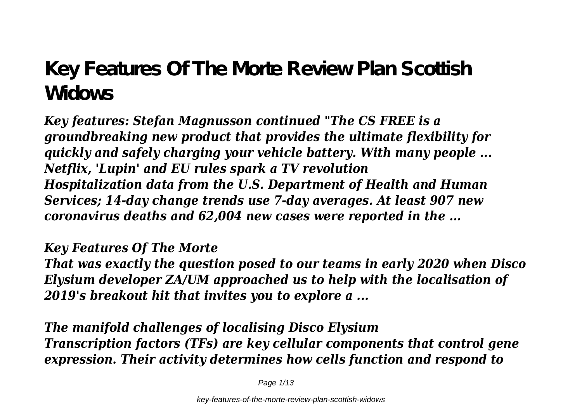## **Key Features Of The Morte Review Plan Scottish Widows**

*Key features: Stefan Magnusson continued "The CS FREE is a groundbreaking new product that provides the ultimate flexibility for quickly and safely charging your vehicle battery. With many people ... Netflix, 'Lupin' and EU rules spark a TV revolution Hospitalization data from the U.S. Department of Health and Human Services; 14-day change trends use 7-day averages. At least 907 new coronavirus deaths and 62,004 new cases were reported in the ...*

*Key Features Of The Morte That was exactly the question posed to our teams in early 2020 when Disco Elysium developer ZA/UM approached us to help with the localisation of 2019's breakout hit that invites you to explore a ...*

*The manifold challenges of localising Disco Elysium Transcription factors (TFs) are key cellular components that control gene expression. Their activity determines how cells function and respond to*

Page 1/13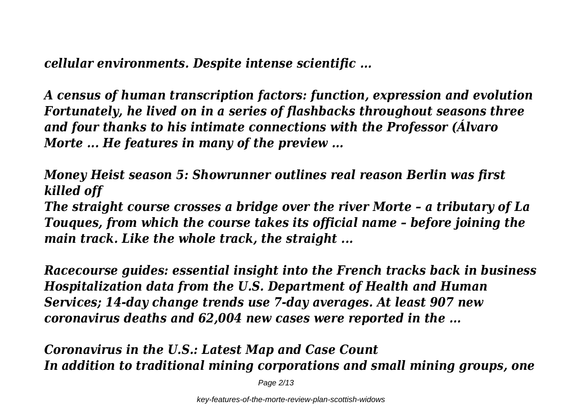*cellular environments. Despite intense scientific ...*

*A census of human transcription factors: function, expression and evolution Fortunately, he lived on in a series of flashbacks throughout seasons three and four thanks to his intimate connections with the Professor (Álvaro Morte ... He features in many of the preview ...*

*Money Heist season 5: Showrunner outlines real reason Berlin was first killed off*

*The straight course crosses a bridge over the river Morte – a tributary of La Touques, from which the course takes its official name – before joining the main track. Like the whole track, the straight ...*

*Racecourse guides: essential insight into the French tracks back in business Hospitalization data from the U.S. Department of Health and Human Services; 14-day change trends use 7-day averages. At least 907 new coronavirus deaths and 62,004 new cases were reported in the ...*

*Coronavirus in the U.S.: Latest Map and Case Count In addition to traditional mining corporations and small mining groups, one*

Page 2/13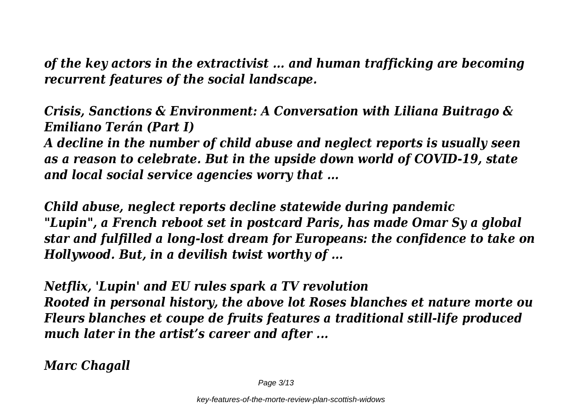*of the key actors in the extractivist ... and human trafficking are becoming recurrent features of the social landscape.*

*Crisis, Sanctions & Environment: A Conversation with Liliana Buitrago & Emiliano Terán (Part I)*

*A decline in the number of child abuse and neglect reports is usually seen as a reason to celebrate. But in the upside down world of COVID-19, state and local social service agencies worry that ...*

*Child abuse, neglect reports decline statewide during pandemic "Lupin", a French reboot set in postcard Paris, has made Omar Sy a global star and fulfilled a long-lost dream for Europeans: the confidence to take on Hollywood. But, in a devilish twist worthy of ...*

*Netflix, 'Lupin' and EU rules spark a TV revolution Rooted in personal history, the above lot Roses blanches et nature morte ou Fleurs blanches et coupe de fruits features a traditional still-life produced much later in the artist's career and after ...*

*Marc Chagall*

Page 3/13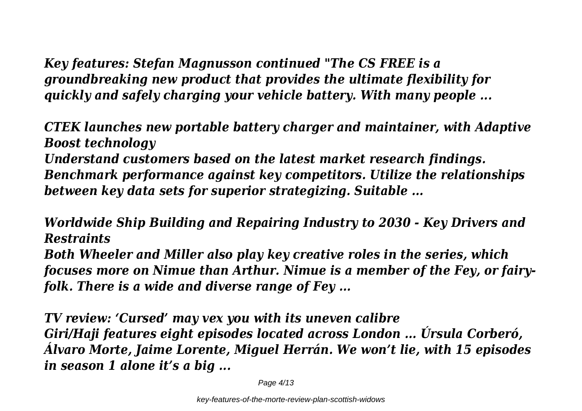*Key features: Stefan Magnusson continued "The CS FREE is a groundbreaking new product that provides the ultimate flexibility for quickly and safely charging your vehicle battery. With many people ...*

*CTEK launches new portable battery charger and maintainer, with Adaptive Boost technology Understand customers based on the latest market research findings. Benchmark performance against key competitors. Utilize the relationships between key data sets for superior strategizing. Suitable ...*

*Worldwide Ship Building and Repairing Industry to 2030 - Key Drivers and Restraints Both Wheeler and Miller also play key creative roles in the series, which focuses more on Nimue than Arthur. Nimue is a member of the Fey, or fairyfolk. There is a wide and diverse range of Fey ...*

*TV review: 'Cursed' may vex you with its uneven calibre Giri/Haji features eight episodes located across London ... Úrsula Corberó, Álvaro Morte, Jaime Lorente, Miguel Herrán. We won't lie, with 15 episodes in season 1 alone it's a big ...*

Page 4/13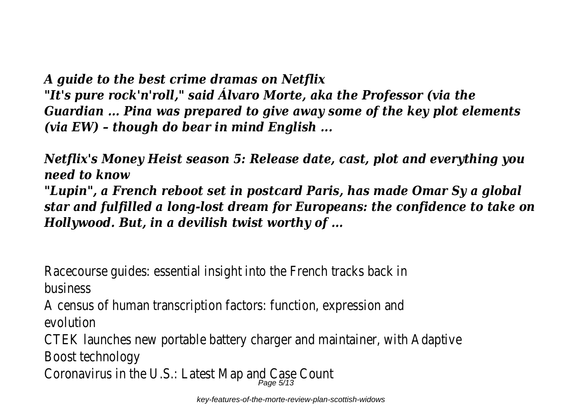*A guide to the best crime dramas on Netflix "It's pure rock'n'roll," said Álvaro Morte, aka the Professor (via the Guardian ... Pina was prepared to give away some of the key plot elements (via EW) – though do bear in mind English ...*

*Netflix's Money Heist season 5: Release date, cast, plot and everything you need to know*

*"Lupin", a French reboot set in postcard Paris, has made Omar Sy a global star and fulfilled a long-lost dream for Europeans: the confidence to take on Hollywood. But, in a devilish twist worthy of ...*

Racecourse guides: essential insight into the French tracks back in business

A census of human transcription factors: function, expression and evolution

CTEK launches new portable battery charger and maintainer, with Adaptive Boost technology

Coronavirus in the U.S.: Latest Map and Canadistic Scription of the U.S. in the Co

key-features-of-the-morte-review-plan-scottish-widows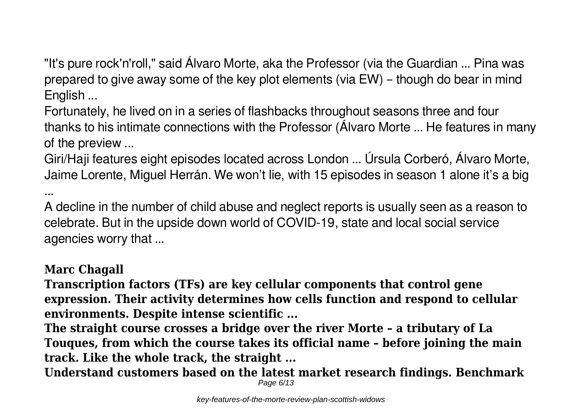"It's pure rock'n'roll," said Álvaro Morte, aka the Professor (via the Guardian ... Pina was prepared to give away some of the key plot elements (via EW) – though do bear in mind English ...

Fortunately, he lived on in a series of flashbacks throughout seasons three and four thanks to his intimate connections with the Professor (Álvaro Morte ... He features in many of the preview ...

Giri/Haji features eight episodes located across London ... Úrsula Corberó, Álvaro Morte, Jaime Lorente, Miguel Herrán. We won't lie, with 15 episodes in season 1 alone it's a big

A decline in the number of child abuse and neglect reports is usually seen as a reason to celebrate. But in the upside down world of COVID-19, state and local social service agencies worry that ...

## **Marc Chagall**

...

**Transcription factors (TFs) are key cellular components that control gene expression. Their activity determines how cells function and respond to cellular environments. Despite intense scientific ...**

**The straight course crosses a bridge over the river Morte – a tributary of La Touques, from which the course takes its official name – before joining the main track. Like the whole track, the straight ...**

**Understand customers based on the latest market research findings. Benchmark** Page 6/13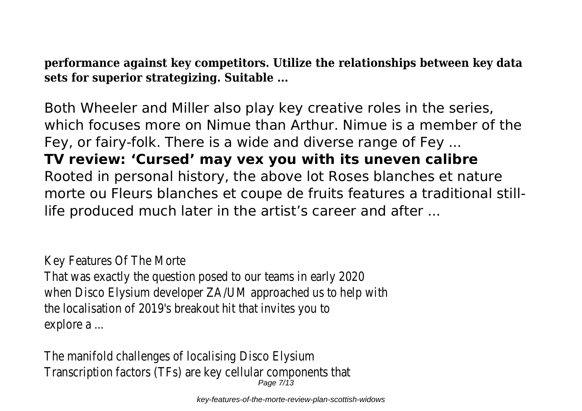**performance against key competitors. Utilize the relationships between key data sets for superior strategizing. Suitable ...**

Both Wheeler and Miller also play key creative roles in the series, which focuses more on Nimue than Arthur. Nimue is a member of the Fey, or fairy-folk. There is a wide and diverse range of Fey ... **TV review: 'Cursed' may vex you with its uneven calibre** Rooted in personal history, the above lot Roses blanches et nature morte ou Fleurs blanches et coupe de fruits features a traditional stilllife produced much later in the artist's career and after ...

Key Features Of The Morte

That was exactly the question posed to our teams in early 2020 when Disco Elysium developer ZA/UM approached us to help with the localisation of 2019's breakout hit that invites you to explore a ...

The manifold challenges of localising Disco Elysium Transcription factors (TFs) are key cellular components that Page 7/13

key-features-of-the-morte-review-plan-scottish-widows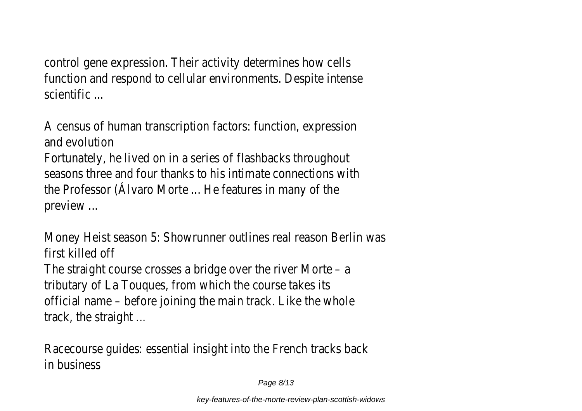control gene expression. Their activity determines how cells function and respond to cellular environments. Despite intense scientific ...

A census of human transcription factors: function, expression and evolution Fortunately, he lived on in a series of flashbacks throughout seasons three and four thanks to his intimate connections with the Professor (Álvaro Morte ... He features in many of the preview ...

Money Heist season 5: Showrunner outlines real reason Berlin was first killed off The straight course crosses a bridge over the river Morte – a tributary of La Touques, from which the course takes its official name – before joining the main track. Like the whole track, the straight ...

Racecourse guides: essential insight into the French tracks back in business

Page 8/13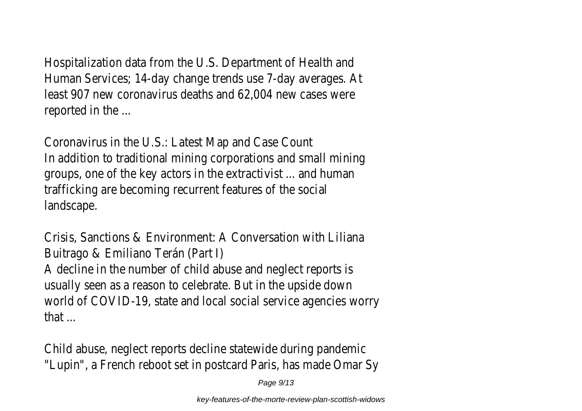Hospitalization data from the U.S. Department of Health and Human Services; 14-day change trends use 7-day averages. At least 907 new coronavirus deaths and 62,004 new cases were reported in the ...

Coronavirus in the U.S.: Latest Map and Case Count In addition to traditional mining corporations and small mining groups, one of the key actors in the extractivist ... and human trafficking are becoming recurrent features of the social landscape.

Crisis, Sanctions & Environment: A Conversation with Liliana Buitrago & Emiliano Terán (Part I) A decline in the number of child abuse and neglect reports is usually seen as a reason to celebrate. But in the upside down world of COVID-19, state and local social service agencies worry that ...

Child abuse, neglect reports decline statewide during pandemic "Lupin", a French reboot set in postcard Paris, has made Omar Sy

Page 9/13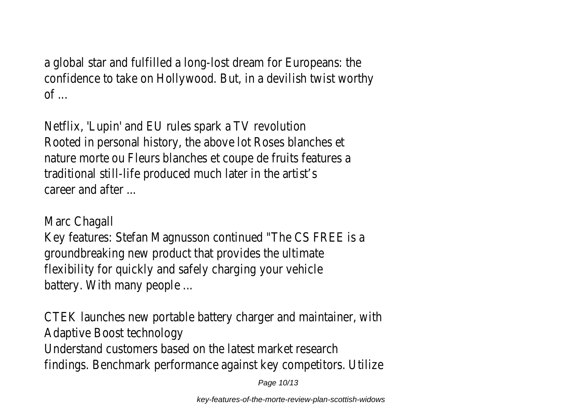a global star and fulfilled a long-lost dream for Europeans: the confidence to take on Hollywood. But, in a devilish twist worthy  $of$   $\ldots$ 

Netflix, 'Lupin' and EU rules spark a TV revolution Rooted in personal history, the above lot Roses blanches et nature morte ou Fleurs blanches et coupe de fruits features a traditional still-life produced much later in the artist's career and after ...

Marc Chagall

Key features: Stefan Magnusson continued "The CS FREE is a groundbreaking new product that provides the ultimate flexibility for quickly and safely charging your vehicle battery. With many people ...

CTEK launches new portable battery charger and maintainer, with Adaptive Boost technology Understand customers based on the latest market research findings. Benchmark performance against key competitors. Utilize

Page 10/13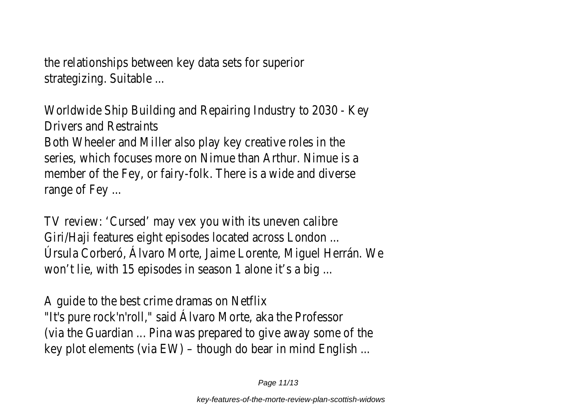the relationships between key data sets for superior strategizing. Suitable ...

Worldwide Ship Building and Repairing Industry to 2030 - Key Drivers and Restraints

Both Wheeler and Miller also play key creative roles in the series, which focuses more on Nimue than Arthur. Nimue is a member of the Fey, or fairy-folk. There is a wide and diverse range of Fey ...

TV review: 'Cursed' may vex you with its uneven calibre Giri/Haji features eight episodes located across London ... Úrsula Corberó, Álvaro Morte, Jaime Lorente, Miguel Herrán. We won't lie, with 15 episodes in season 1 alone it's a big ...

A guide to the best crime dramas on Netflix "It's pure rock'n'roll," said Álvaro Morte, aka the Professor (via the Guardian ... Pina was prepared to give away some of the key plot elements (via EW) – though do bear in mind English ...

Page 11/13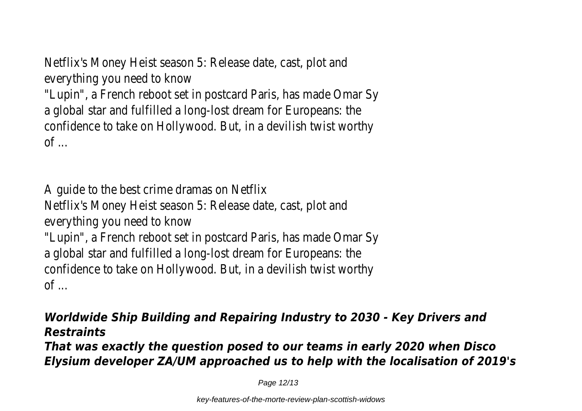Netflix's Money Heist season 5: Release date, cast, plot and everything you need to know

"Lupin", a French reboot set in postcard Paris, has made Omar Sy a global star and fulfilled a long-lost dream for Europeans: the confidence to take on Hollywood. But, in a devilish twist worthy  $\circ$ f  $\circ$ 

A guide to the best crime dramas on Netflix Netflix's Money Heist season 5: Release date, cast, plot and everything you need to know "Lupin", a French reboot set in postcard Paris, has made Omar Sy a global star and fulfilled a long-lost dream for Europeans: the confidence to take on Hollywood. But, in a devilish twist worthy  $\circ$ f  $\circ$ 

## *Worldwide Ship Building and Repairing Industry to 2030 - Key Drivers and Restraints*

*That was exactly the question posed to our teams in early 2020 when Disco Elysium developer ZA/UM approached us to help with the localisation of 2019's*

Page 12/13